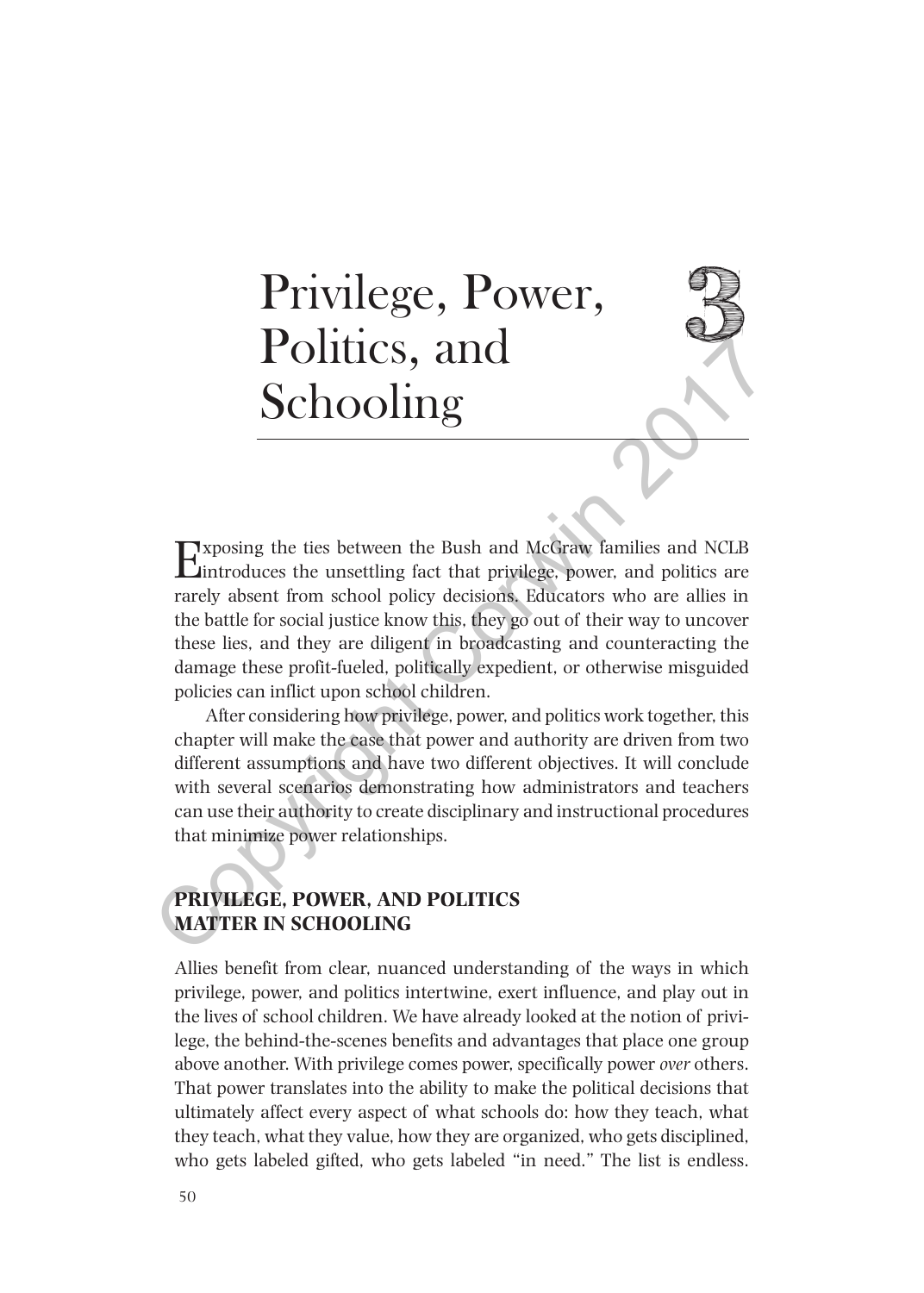# Privilege, Power, Politics, and Schooling

**3**

Exposing the ties between the Bush and McGraw families and NCLB **L**introduces the unsettling fact that privilege, power, and politics are rarely absent from school policy decisions. Educators who are allies in the battle for social justice know this, they go out of their way to uncover these lies, and they are diligent in broadcasting and counteracting the damage these profit-fueled, politically expedient, or otherwise misguided policies can inflict upon school children. **Example 18 Schooling**<br> **Schooling**<br> **Schooling**<br> **Constant Schooling**<br> **Constant Schooling**<br> **Constant Constant Correlation** and MCLB are ready absent from school policy decisions. Ralcators who are allies are ready beach

After considering how privilege, power, and politics work together, this chapter will make the case that power and authority are driven from two different assumptions and have two different objectives. It will conclude with several scenarios demonstrating how administrators and teachers can use their authority to create disciplinary and instructional procedures that minimize power relationships.

# **PRIVILEGE, POWER, AND POLITICS MATTER IN SCHOOLING**

Allies benefit from clear, nuanced understanding of the ways in which privilege, power, and politics intertwine, exert influence, and play out in the lives of school children. We have already looked at the notion of privilege, the behind-the-scenes benefits and advantages that place one group above another. With privilege comes power, specifically power *over* others. That power translates into the ability to make the political decisions that ultimately affect every aspect of what schools do: how they teach, what they teach, what they value, how they are organized, who gets disciplined, who gets labeled gifted, who gets labeled "in need." The list is endless.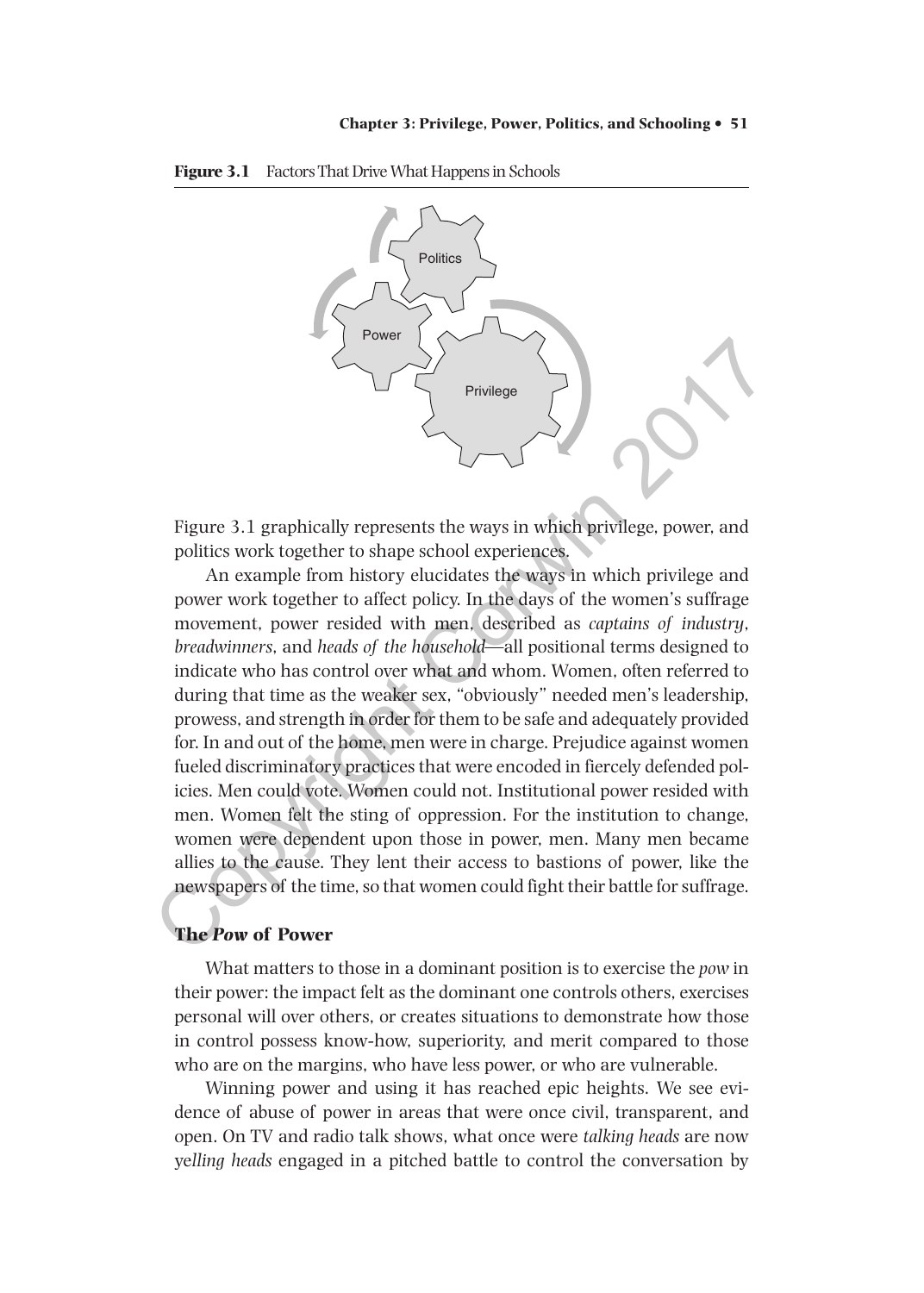

Figure 3.1 Factors That Drive What Happens in Schools

Figure 3.1 graphically represents the ways in which privilege, power, and politics work together to shape school experiences.

An example from history elucidates the ways in which privilege and power work together to affect policy. In the days of the women's suffrage movement, power resided with men, described as *captains of industry*, *breadwinners*, and *heads of the household*—all positional terms designed to indicate who has control over what and whom. Women, often referred to during that time as the weaker sex, "obviously" needed men's leadership, prowess, and strength in order for them to be safe and adequately provided for. In and out of the home, men were in charge. Prejudice against women fueled discriminatory practices that were encoded in fiercely defended policies. Men could vote. Women could not. Institutional power resided with men. Women felt the sting of oppression. For the institution to change, women were dependent upon those in power, men. Many men became allies to the cause. They lent their access to bastions of power, like the newspapers of the time, so that women could fight their battle for suffrage. Figure 3.1 graphically represents the ways in which privilege. power, and politics work together to shape school experiences.<br>An example from history elucidates the ways in which privilege. power, and power work together t

# **The** *Pow* **of Power**

What matters to those in a dominant position is to exercise the *pow* in their power: the impact felt as the dominant one controls others, exercises personal will over others, or creates situations to demonstrate how those in control possess know-how, superiority, and merit compared to those who are on the margins, who have less power, or who are vulnerable.

Winning power and using it has reached epic heights. We see evidence of abuse of power in areas that were once civil, transparent, and open. On TV and radio talk shows, what once were *talking heads* are now ye*lling heads* engaged in a pitched battle to control the conversation by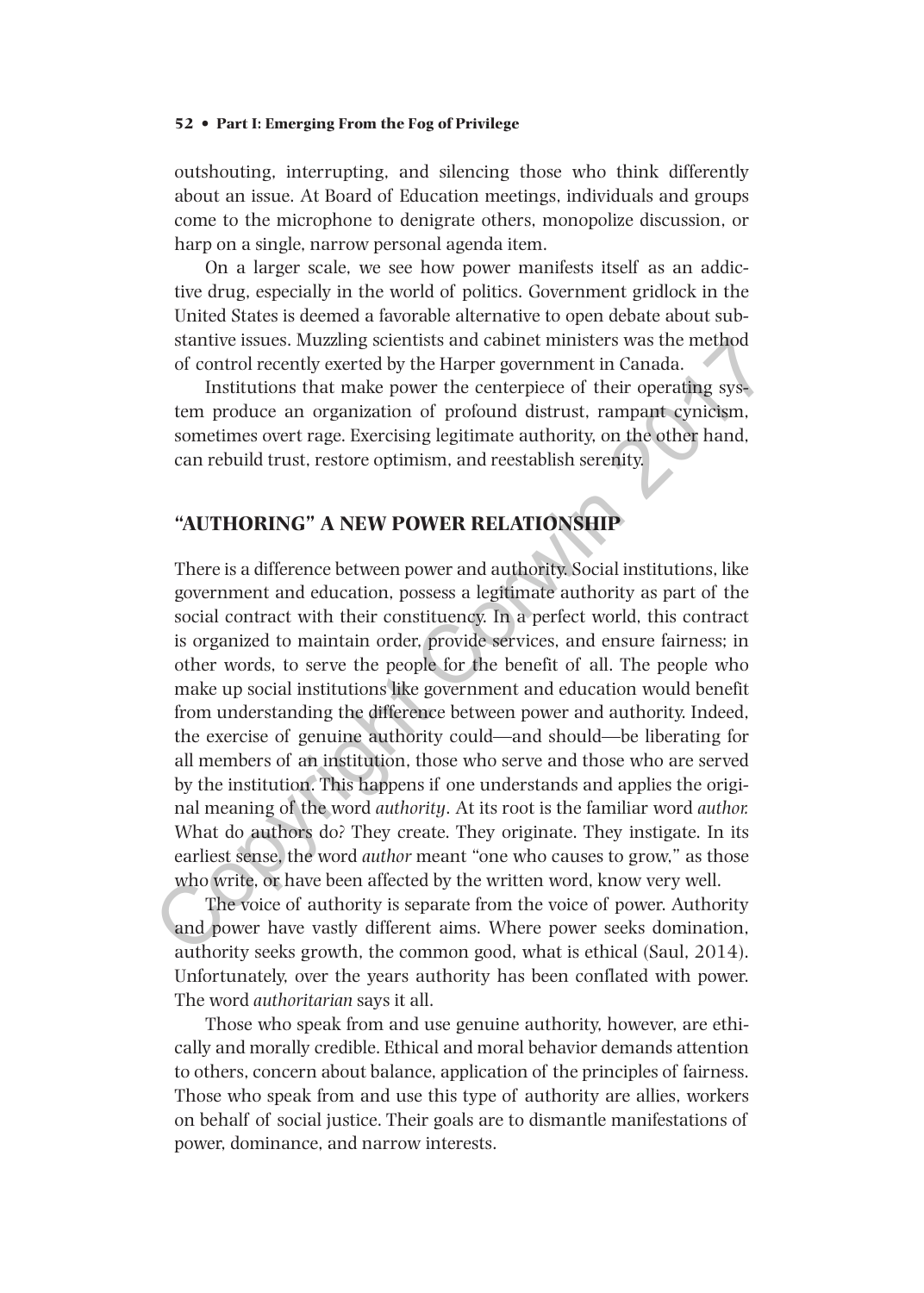outshouting, interrupting, and silencing those who think differently about an issue. At Board of Education meetings, individuals and groups come to the microphone to denigrate others, monopolize discussion, or harp on a single, narrow personal agenda item.

On a larger scale, we see how power manifests itself as an addictive drug, especially in the world of politics. Government gridlock in the United States is deemed a favorable alternative to open debate about substantive issues. Muzzling scientists and cabinet ministers was the method of control recently exerted by the Harper government in Canada.

Institutions that make power the centerpiece of their operating system produce an organization of profound distrust, rampant cynicism, sometimes overt rage. Exercising legitimate authority, on the other hand, can rebuild trust, restore optimism, and reestablish serenity.

# **"AUTHORING" A NEW POWER RELATIONSHIP**

There is a difference between power and authority. Social institutions, like government and education, possess a legitimate authority as part of the social contract with their constituency. In a perfect world, this contract is organized to maintain order, provide services, and ensure fairness; in other words, to serve the people for the benefit of all. The people who make up social institutions like government and education would benefit from understanding the difference between power and authority. Indeed, the exercise of genuine authority could—and should—be liberating for all members of an institution, those who serve and those who are served by the institution. This happens if one understands and applies the original meaning of the word *authority*. At its root is the familiar word *author.*  What do authors do? They create. They originate. They instigate. In its earliest sense, the word *author* meant "one who causes to grow," as those who write, or have been affected by the written word, know very well. stantive issues. Muzzing scentists and cabinet ministers was the method<br>of control recently exerted by the Harper government in Canada.<br>Institutions that make power the centerpiece of their operating sys-<br>tem produce an o

The voice of authority is separate from the voice of power. Authority and power have vastly different aims. Where power seeks domination, authority seeks growth, the common good, what is ethical (Saul, 2014). Unfortunately, over the years authority has been conflated with power. The word *authoritarian* says it all.

Those who speak from and use genuine authority, however, are ethically and morally credible. Ethical and moral behavior demands attention to others, concern about balance, application of the principles of fairness. Those who speak from and use this type of authority are allies, workers on behalf of social justice. Their goals are to dismantle manifestations of power, dominance, and narrow interests.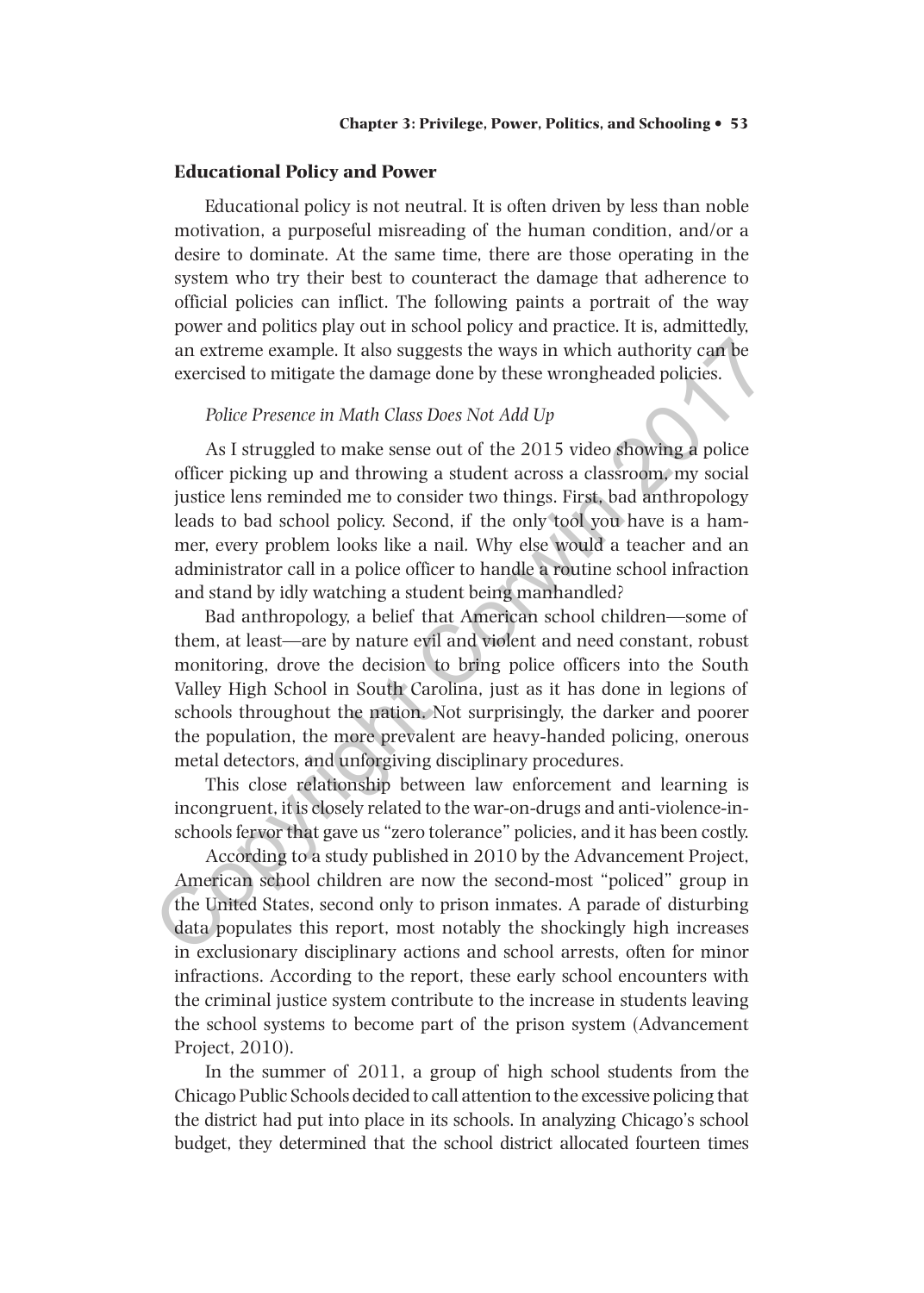#### **Educational Policy and Power**

Educational policy is not neutral. It is often driven by less than noble motivation, a purposeful misreading of the human condition, and/or a desire to dominate. At the same time, there are those operating in the system who try their best to counteract the damage that adherence to official policies can inflict. The following paints a portrait of the way power and politics play out in school policy and practice. It is, admittedly, an extreme example. It also suggests the ways in which authority can be exercised to mitigate the damage done by these wrongheaded policies.

## *Police Presence in Math Class Does Not Add Up*

As I struggled to make sense out of the 2015 video showing a police officer picking up and throwing a student across a classroom, my social justice lens reminded me to consider two things. First, bad anthropology leads to bad school policy. Second, if the only tool you have is a hammer, every problem looks like a nail*.* Why else would a teacher and an administrator call in a police officer to handle a routine school infraction and stand by idly watching a student being manhandled?

Bad anthropology, a belief that American school children—some of them, at least—are by nature evil and violent and need constant, robust monitoring, drove the decision to bring police officers into the South Valley High School in South Carolina, just as it has done in legions of schools throughout the nation. Not surprisingly, the darker and poorer the population, the more prevalent are heavy-handed policing, onerous metal detectors, and unforgiving disciplinary procedures. an extreme example. It also suggests the ways in which authority can be exercised to mitigate the damage done by these wrongheaded policies.<br>
Police Presence in Math Class Does Not Add Up<br>
As I struggled to make sense out

This close relationship between law enforcement and learning is incongruent, it is closely related to the war-on-drugs and anti-violence-inschools fervor that gave us "zero tolerance" policies, and it has been costly.

According to a study published in 2010 by the Advancement Project, American school children are now the second-most "policed" group in the United States, second only to prison inmates. A parade of disturbing data populates this report, most notably the shockingly high increases in exclusionary disciplinary actions and school arrests, often for minor infractions. According to the report, these early school encounters with the criminal justice system contribute to the increase in students leaving the school systems to become part of the prison system (Advancement Project, 2010).

In the summer of 2011, a group of high school students from the Chicago Public Schools decided to call attention to the excessive policing that the district had put into place in its schools. In analyzing Chicago's school budget, they determined that the school district allocated fourteen times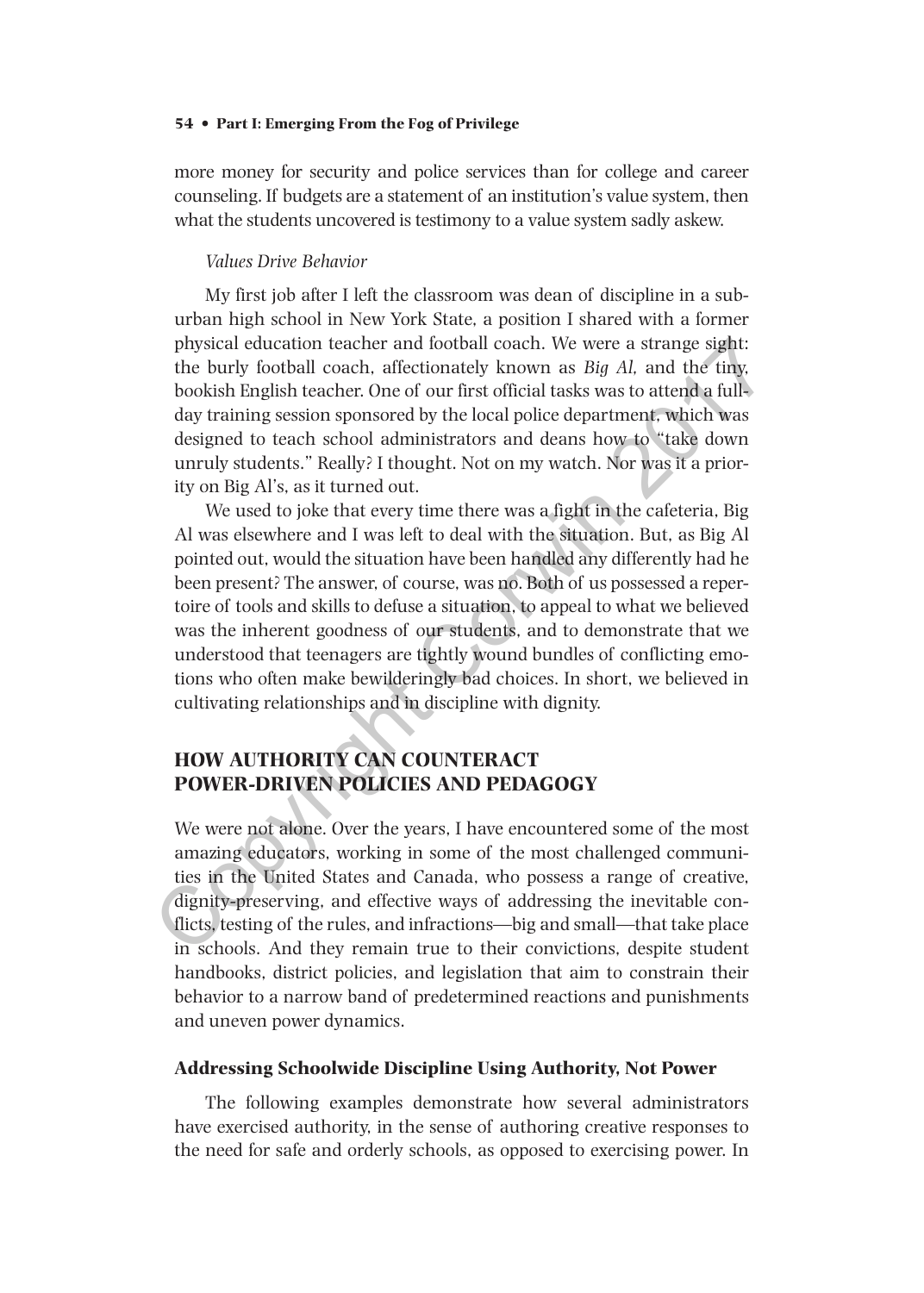more money for security and police services than for college and career counseling. If budgets are a statement of an institution's value system, then what the students uncovered is testimony to a value system sadly askew.

# *Values Drive Behavior*

My first job after I left the classroom was dean of discipline in a suburban high school in New York State, a position I shared with a former physical education teacher and football coach. We were a strange sight: the burly football coach, affectionately known as *Big Al,* and the tiny, bookish English teacher. One of our first official tasks was to attend a fullday training session sponsored by the local police department, which was designed to teach school administrators and deans how to "take down unruly students." Really? I thought. Not on my watch. Nor was it a priority on Big Al's, as it turned out.

We used to joke that every time there was a fight in the cafeteria, Big Al was elsewhere and I was left to deal with the situation. But, as Big Al pointed out, would the situation have been handled any differently had he been present? The answer, of course, was no. Both of us possessed a repertoire of tools and skills to defuse a situation, to appeal to what we believed was the inherent goodness of our students, and to demonstrate that we understood that teenagers are tightly wound bundles of conflicting emotions who often make bewilderingly bad choices. In short, we believed in cultivating relationships and in discipline with dignity. physical education teacher and football coach. We were a strange sight:<br>the burly football coach, affectionately known as *Big All*, and the tiny,<br>bookish English teacher. One of our first official tasks was to attend a fu

# **HOW AUTHORITY CAN COUNTERACT POWER-DRIVEN POLICIES AND PEDAGOGY**

We were not alone. Over the years, I have encountered some of the most amazing educators, working in some of the most challenged communities in the United States and Canada, who possess a range of creative, dignity-preserving, and effective ways of addressing the inevitable conflicts, testing of the rules, and infractions—big and small—that take place in schools. And they remain true to their convictions, despite student handbooks, district policies, and legislation that aim to constrain their behavior to a narrow band of predetermined reactions and punishments and uneven power dynamics.

#### **Addressing Schoolwide Discipline Using Authority, Not Power**

The following examples demonstrate how several administrators have exercised authority, in the sense of authoring creative responses to the need for safe and orderly schools, as opposed to exercising power. In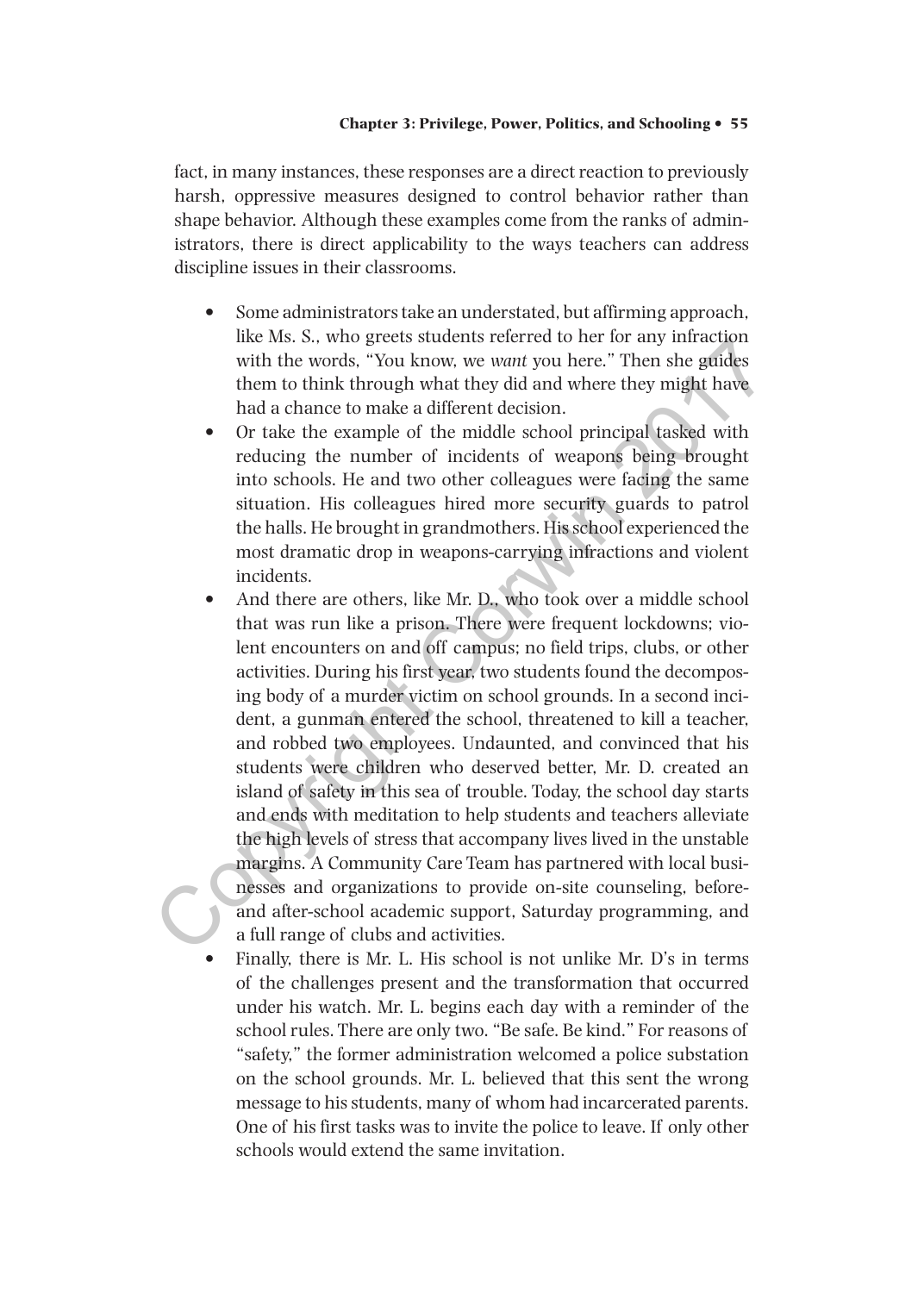fact, in many instances, these responses are a direct reaction to previously harsh, oppressive measures designed to control behavior rather than shape behavior. Although these examples come from the ranks of administrators, there is direct applicability to the ways teachers can address discipline issues in their classrooms.

- Some administrators take an understated, but affirming approach, like Ms. S., who greets students referred to her for any infraction with the words, "You know, we *want* you here." Then she guides them to think through what they did and where they might have had a chance to make a different decision.
- Or take the example of the middle school principal tasked with reducing the number of incidents of weapons being brought into schools. He and two other colleagues were facing the same situation. His colleagues hired more security guards to patrol the halls. He brought in grandmothers. His school experienced the most dramatic drop in weapons-carrying infractions and violent incidents.
- And there are others, like Mr. D., who took over a middle school that was run like a prison. There were frequent lockdowns; violent encounters on and off campus; no field trips, clubs, or other activities. During his first year, two students found the decomposing body of a murder victim on school grounds. In a second incident, a gunman entered the school, threatened to kill a teacher, and robbed two employees. Undaunted, and convinced that his students were children who deserved better, Mr. D. created an island of safety in this sea of trouble. Today, the school day starts and ends with meditation to help students and teachers alleviate the high levels of stress that accompany lives lived in the unstable margins. A Community Care Team has partnered with local businesses and organizations to provide on-site counseling, beforeand after-school academic support, Saturday programming, and a full range of clubs and activities. me was set, who greets students reter to the ion any mind control with the words, "You know, we want you here." Then she guides them to think through what they did and where they might have had a chance to make a different
	- Finally, there is Mr. L. His school is not unlike Mr. D's in terms of the challenges present and the transformation that occurred under his watch. Mr. L. begins each day with a reminder of the school rules. There are only two. "Be safe. Be kind." For reasons of "safety," the former administration welcomed a police substation on the school grounds. Mr. L. believed that this sent the wrong message to his students, many of whom had incarcerated parents. One of his first tasks was to invite the police to leave. If only other schools would extend the same invitation.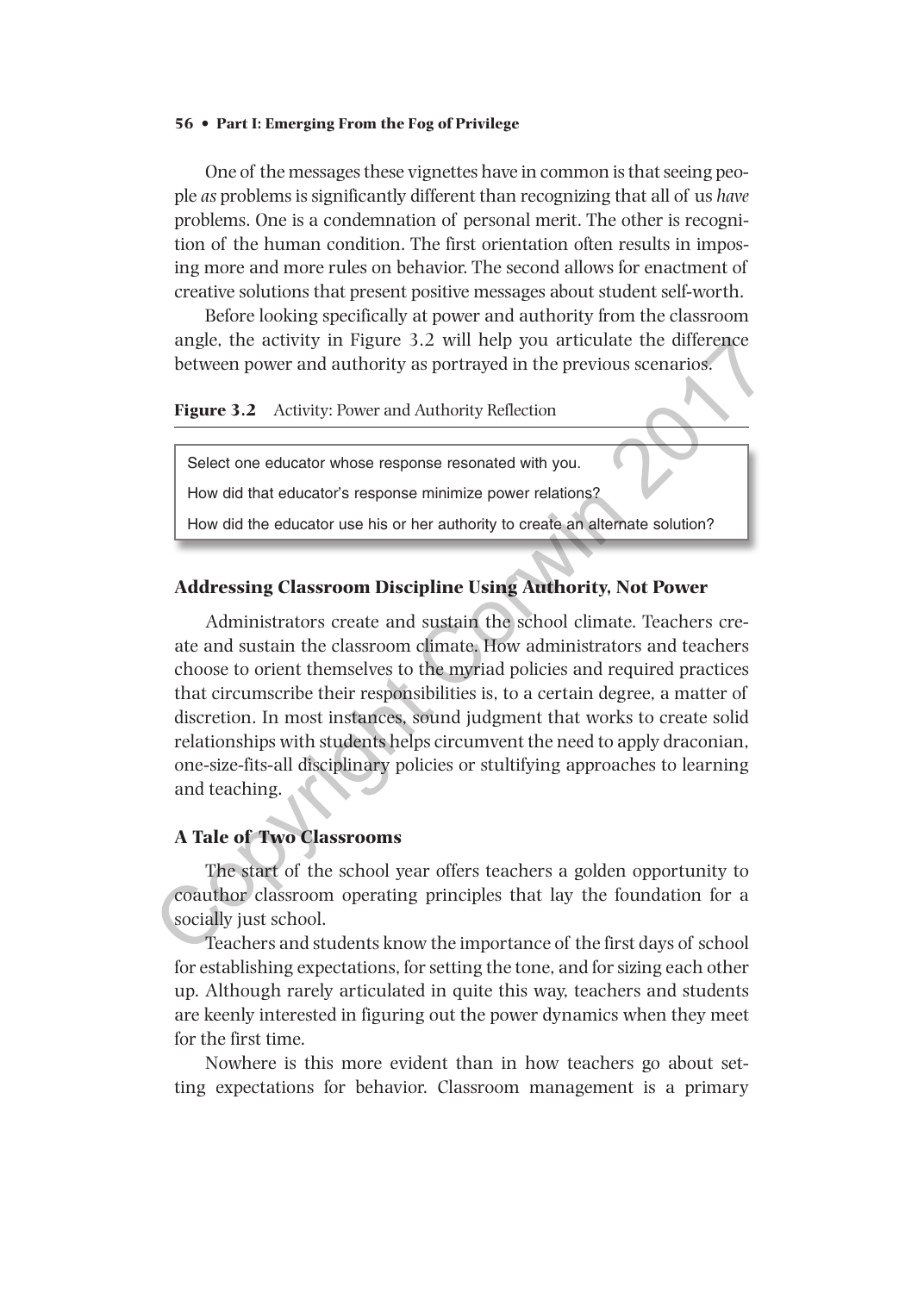One of the messages these vignettes have in common is that seeing people *as* problems is significantly different than recognizing that all of us *have*  problems. One is a condemnation of personal merit. The other is recognition of the human condition. The first orientation often results in imposing more and more rules on behavior. The second allows for enactment of creative solutions that present positive messages about student self-worth.

Before looking specifically at power and authority from the classroom angle, the activity in Figure 3.2 will help you articulate the difference between power and authority as portrayed in the previous scenarios.





How did the educator use his or her authority to create an alternate solution?

# **Addressing Classroom Discipline Using Authority, Not Power**

Administrators create and sustain the school climate. Teachers create and sustain the classroom climate. How administrators and teachers choose to orient themselves to the myriad policies and required practices that circumscribe their responsibilities is, to a certain degree, a matter of discretion. In most instances, sound judgment that works to create solid relationships with students helps circumvent the need to apply draconian, one-size-fits-all disciplinary policies or stultifying approaches to learning and teaching. angle, the activity in Figure 3.2 will nelp you articulate the difference<br>between power and authority as portrayed in the previous scenarios.<br>
Figure 3.2 Activity: Power and Authority Reflection<br>
Select one educator whose

## **A Tale of Two Classrooms**

The start of the school year offers teachers a golden opportunity to coauthor classroom operating principles that lay the foundation for a socially just school.

Teachers and students know the importance of the first days of school for establishing expectations, for setting the tone, and for sizing each other up. Although rarely articulated in quite this way, teachers and students are keenly interested in figuring out the power dynamics when they meet for the first time.

Nowhere is this more evident than in how teachers go about setting expectations for behavior. Classroom management is a primary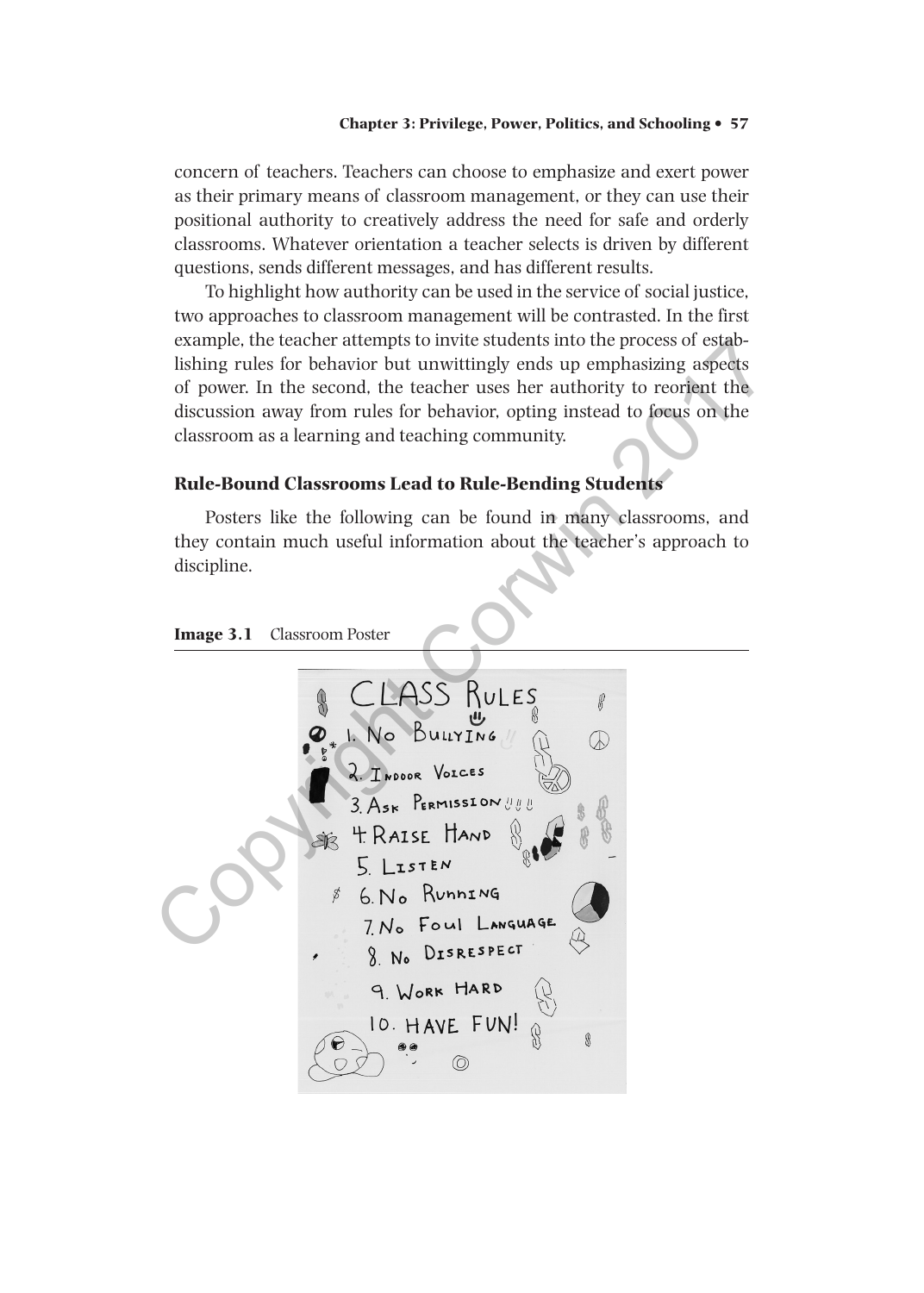concern of teachers. Teachers can choose to emphasize and exert power as their primary means of classroom management, or they can use their positional authority to creatively address the need for safe and orderly classrooms. Whatever orientation a teacher selects is driven by different questions, sends different messages, and has different results.

To highlight how authority can be used in the service of social justice, two approaches to classroom management will be contrasted. In the first example, the teacher attempts to invite students into the process of establishing rules for behavior but unwittingly ends up emphasizing aspects of power. In the second, the teacher uses her authority to reorient the discussion away from rules for behavior, opting instead to focus on the classroom as a learning and teaching community.

## **Rule-Bound Classrooms Lead to Rule-Bending Students**

Posters like the following can be found in many classrooms, and they contain much useful information about the teacher's approach to discipline.



example, the teacher attempts to multe students into the process of establishing rules for behavior but unwittingly ends her authority to reorient the<br>discussion away from rules for behavior, opting instead to focus on th 9. WORK HARD 10. HAVE FUN Q ◎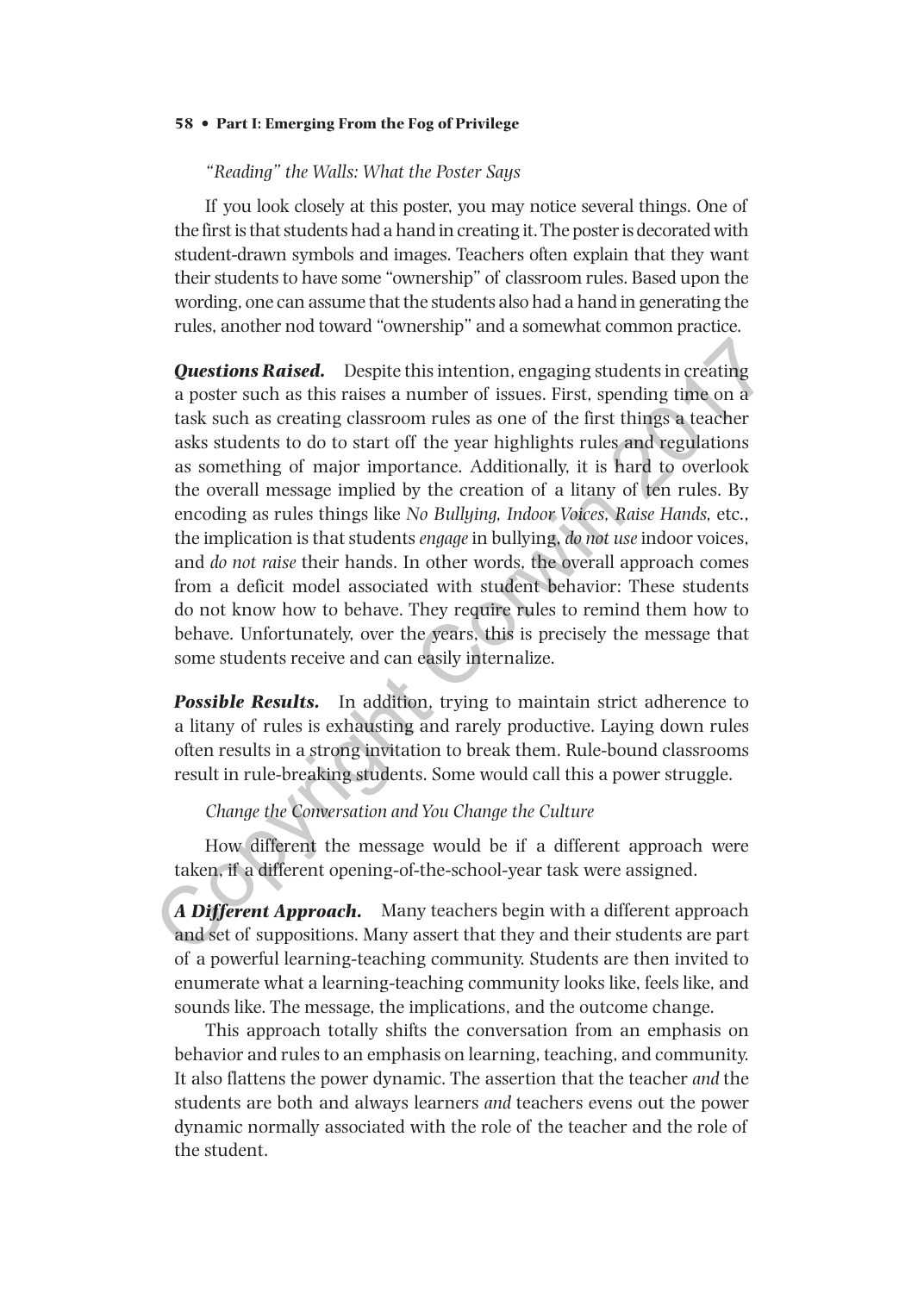#### *"Reading" the Walls: What the Poster Says*

If you look closely at this poster, you may notice several things. One of the first is that students had a hand in creating it. The poster is decorated with student-drawn symbols and images. Teachers often explain that they want their students to have some "ownership" of classroom rules. Based upon the wording, one can assume that the students also had a hand in generating the rules, another nod toward "ownership" and a somewhat common practice.

*Questions Raised.* Despite this intention, engaging students in creating a poster such as this raises a number of issues. First, spending time on a task such as creating classroom rules as one of the first things a teacher asks students to do to start off the year highlights rules and regulations as something of major importance. Additionally, it is hard to overlook the overall message implied by the creation of a litany of ten rules. By encoding as rules things like *No Bullying, Indoor Voices, Raise Hands,* etc., the implication is that students *engage* in bullying, *do not use* indoor voices, and *do not raise* their hands. In other words, the overall approach comes from a deficit model associated with student behavior: These students do not know how to behave. They require rules to remind them how to behave. Unfortunately, over the years, this is precisely the message that some students receive and can easily internalize. **Questions Raised.** Despite this intention, engaging students in creating a poster such as this raises a number of issues. First, spending time on a task such as creating classroom rules as one of the first things a teach

**Possible Results.** In addition, trying to maintain strict adherence to a litany of rules is exhausting and rarely productive. Laying down rules often results in a strong invitation to break them. Rule-bound classrooms result in rule-breaking students. Some would call this a power struggle.

# *Change the Conversation and You Change the Culture*

How different the message would be if a different approach were taken, if a different opening-of-the-school-year task were assigned.

*A Different Approach.* Many teachers begin with a different approach and set of suppositions. Many assert that they and their students are part of a powerful learning-teaching community. Students are then invited to enumerate what a learning-teaching community looks like, feels like, and sounds like. The message, the implications, and the outcome change.

This approach totally shifts the conversation from an emphasis on behavior and rules to an emphasis on learning, teaching, and community. It also flattens the power dynamic. The assertion that the teacher *and* the students are both and always learners *and* teachers evens out the power dynamic normally associated with the role of the teacher and the role of the student.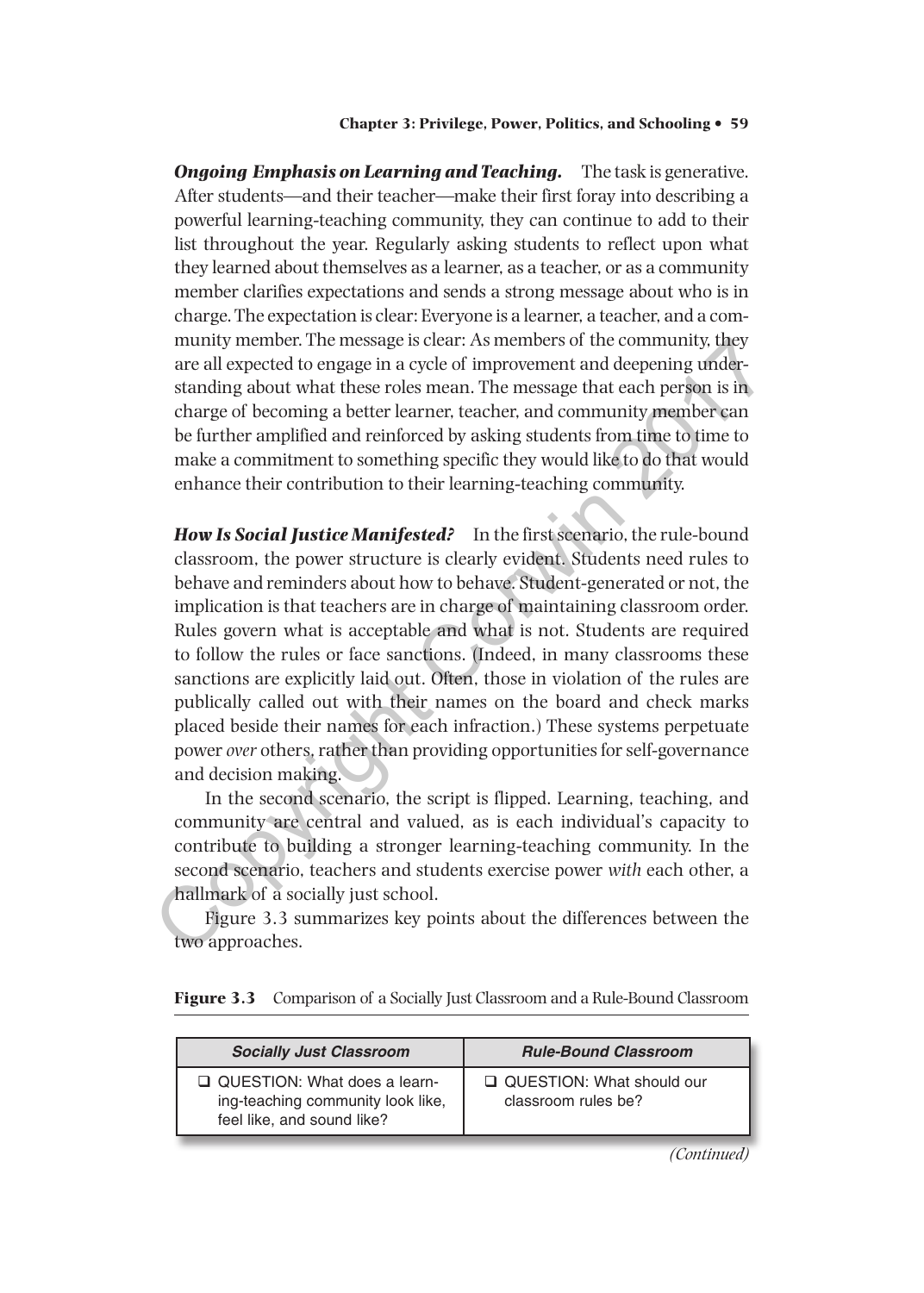**Ongoing Emphasis on Learning and Teaching.** The task is generative. After students—and their teacher—make their first foray into describing a powerful learning-teaching community, they can continue to add to their list throughout the year. Regularly asking students to reflect upon what they learned about themselves as a learner, as a teacher, or as a community member clarifies expectations and sends a strong message about who is in charge. The expectation is clear: Everyone is a learner, a teacher, and a community member. The message is clear: As members of the community, they are all expected to engage in a cycle of improvement and deepening understanding about what these roles mean. The message that each person is in charge of becoming a better learner, teacher, and community member can be further amplified and reinforced by asking students from time to time to make a commitment to something specific they would like to do that would enhance their contribution to their learning-teaching community.

*How Is Social Justice Manifested?* In the first scenario, the rule-bound classroom, the power structure is clearly evident. Students need rules to behave and reminders about how to behave. Student-generated or not, the implication is that teachers are in charge of maintaining classroom order. Rules govern what is acceptable and what is not. Students are required to follow the rules or face sanctions. (Indeed, in many classrooms these sanctions are explicitly laid out. Often, those in violation of the rules are publically called out with their names on the board and check marks placed beside their names for each infraction.) These systems perpetuate power *over* others, rather than providing opportunities for self-governance and decision making. munity member. The meassage is elerar. As members of the community, they are all expected to engage in a cycle of improvement and deepening understanding about what these roles mean. The message that each person is in cha

In the second scenario, the script is flipped. Learning, teaching, and community are central and valued, as is each individual's capacity to contribute to building a stronger learning-teaching community. In the second scenario, teachers and students exercise power *with* each other, a hallmark of a socially just school.

Figure 3.3 summarizes key points about the differences between the two approaches.

**Figure 3.3** Comparison of a Socially Just Classroom and a Rule-Bound Classroom

| <b>Socially Just Classroom</b>                                                                  | <b>Rule-Bound Classroom</b>                      |
|-------------------------------------------------------------------------------------------------|--------------------------------------------------|
| QUESTION: What does a learn-<br>ing-teaching community look like,<br>feel like, and sound like? | QUESTION: What should our<br>classroom rules be? |

*(Continued)*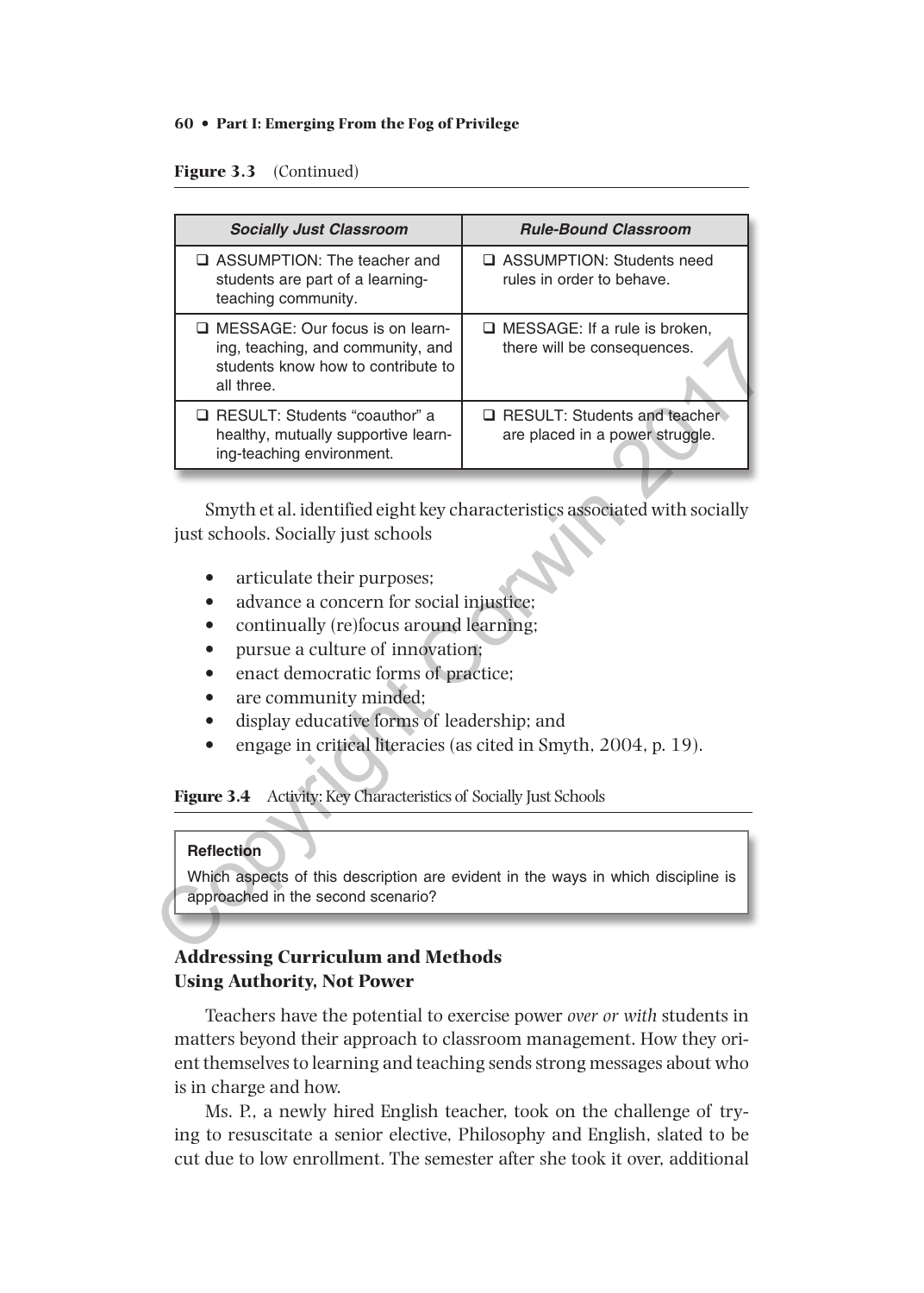#### **Figure 3.3** (Continued)

| <b>Socially Just Classroom</b>                                                                                                                                                                                                                                                                                                                                                                                      | <b>Rule-Bound Classroom</b>                                         |
|---------------------------------------------------------------------------------------------------------------------------------------------------------------------------------------------------------------------------------------------------------------------------------------------------------------------------------------------------------------------------------------------------------------------|---------------------------------------------------------------------|
| ASSUMPTION: The teacher and<br>students are part of a learning-<br>teaching community.                                                                                                                                                                                                                                                                                                                              | ASSUMPTION: Students need<br>rules in order to behave.              |
| MESSAGE: Our focus is on learn-<br>ing, teaching, and community, and<br>students know how to contribute to<br>all three.                                                                                                                                                                                                                                                                                            | $\Box$ MESSAGE: If a rule is broken,<br>there will be consequences. |
| RESULT: Students "coauthor" a<br>healthy, mutually supportive learn-<br>ing-teaching environment.                                                                                                                                                                                                                                                                                                                   | RESULT: Students and teacher<br>are placed in a power struggle.     |
| just schools. Socially just schools<br>articulate their purposes;                                                                                                                                                                                                                                                                                                                                                   |                                                                     |
| advance a concern for social injustice;<br>continually (re)focus around learning;<br>pursue a culture of innovation;<br>enact democratic forms of practice;<br>are community minded;<br>display educative forms of leadership; and<br>Activity: Key Characteristics of Socially Just Schools<br>Figure 3.4<br><b>Reflection</b><br>Which aspects of this description are evident in the ways in which discipline is | engage in critical literacies (as cited in Smyth, 2004, p. 19).     |

- articulate their purposes;
- advance a concern for social injustice;
- continually (re)focus around learning;
- pursue a culture of innovation;
- enact democratic forms of practice:
- are community minded;
- display educative forms of leadership; and
- engage in critical literacies (as cited in Smyth, 2004, p. 19).

## **Reflection**

# **Addressing Curriculum and Methods Using Authority, Not Power**

Teachers have the potential to exercise power *over or with* students in matters beyond their approach to classroom management. How they orient themselves to learning and teaching sends strong messages about who is in charge and how.

Ms. P., a newly hired English teacher, took on the challenge of trying to resuscitate a senior elective, Philosophy and English, slated to be cut due to low enrollment. The semester after she took it over, additional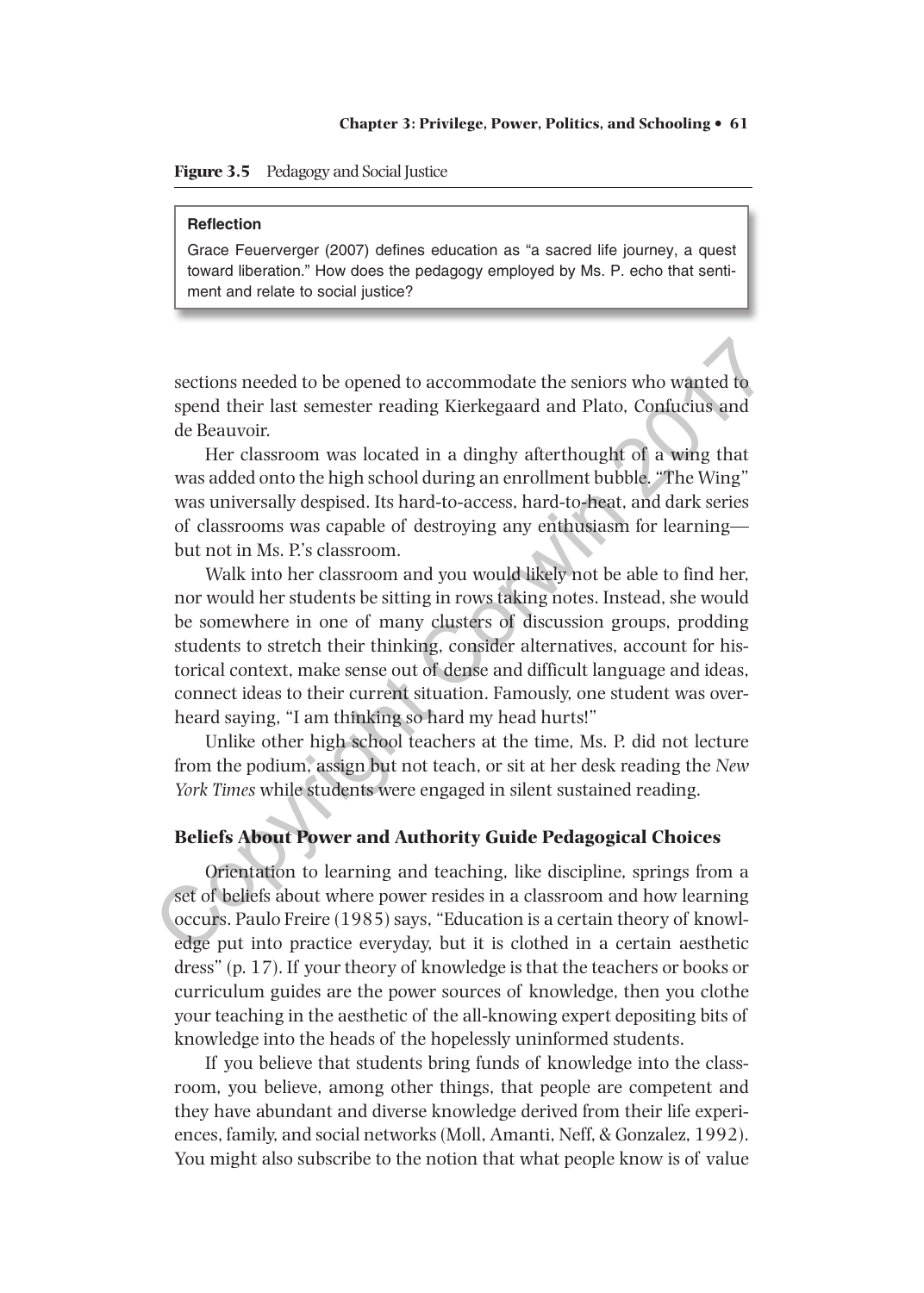| <b>Figure 3.5</b> |  | Pedagogy and Social Justice |
|-------------------|--|-----------------------------|
|-------------------|--|-----------------------------|

#### **Reflection**

Grace Feuerverger (2007) defines education as "a sacred life journey, a quest toward liberation." How does the pedagogy employed by Ms. P. echo that sentiment and relate to social justice?

sections needed to be opened to accommodate the seniors who wanted to spend their last semester reading Kierkegaard and Plato, Confucius and de Beauvoir.

Her classroom was located in a dinghy afterthought of a wing that was added onto the high school during an enrollment bubble. "The Wing" was universally despised. Its hard-to-access, hard-to-heat, and dark series of classrooms was capable of destroying any enthusiasm for learning but not in Ms. P.'s classroom.

Walk into her classroom and you would likely not be able to find her, nor would her students be sitting in rows taking notes. Instead, she would be somewhere in one of many clusters of discussion groups, prodding students to stretch their thinking, consider alternatives, account for historical context, make sense out of dense and difficult language and ideas, connect ideas to their current situation. Famously, one student was overheard saying, "I am thinking so hard my head hurts!" sections needed to be opened to accommodate the seniors who wanted to spend their last semester reading Kierkegaard and Plato, Confuctus and de Beauvoir. Her classroom was located in a dinghy afterthought of a wing that w

Unlike other high school teachers at the time, Ms. P. did not lecture from the podium, assign but not teach, or sit at her desk reading the *New York Times* while students were engaged in silent sustained reading.

# **Beliefs About Power and Authority Guide Pedagogical Choices**

Orientation to learning and teaching, like discipline, springs from a set of beliefs about where power resides in a classroom and how learning occurs. Paulo Freire (1985) says, "Education is a certain theory of knowledge put into practice everyday, but it is clothed in a certain aesthetic dress" (p. 17). If your theory of knowledge is that the teachers or books or curriculum guides are the power sources of knowledge, then you clothe your teaching in the aesthetic of the all-knowing expert depositing bits of knowledge into the heads of the hopelessly uninformed students.

If you believe that students bring funds of knowledge into the classroom, you believe, among other things, that people are competent and they have abundant and diverse knowledge derived from their life experiences, family, and social networks (Moll, Amanti, Neff, & Gonzalez, 1992). You might also subscribe to the notion that what people know is of value